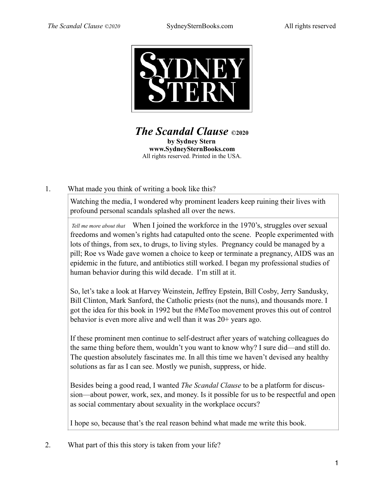

## *The Scandal Clause* **©2020 by Sydney Stern**

**www.SydneySternBooks.com**  All rights reserved. Printed in the USA.

### 1. What made you think of writing a book like this?

Watching the media, I wondered why prominent leaders keep ruining their lives with profound personal scandals splashed all over the news.

 *Tell me more about that* When I joined the workforce in the 1970's, struggles over sexual freedoms and women's rights had catapulted onto the scene. People experimented with lots of things, from sex, to drugs, to living styles. Pregnancy could be managed by a pill; Roe vs Wade gave women a choice to keep or terminate a pregnancy, AIDS was an epidemic in the future, and antibiotics still worked. I began my professional studies of human behavior during this wild decade. I'm still at it.

So, let's take a look at Harvey Weinstein, Jeffrey Epstein, Bill Cosby, Jerry Sandusky, Bill Clinton, Mark Sanford, the Catholic priests (not the nuns), and thousands more. I got the idea for this book in 1992 but the #MeToo movement proves this out of control behavior is even more alive and well than it was 20+ years ago.

If these prominent men continue to self-destruct after years of watching colleagues do the same thing before them, wouldn't you want to know why? I sure did—and still do. The question absolutely fascinates me. In all this time we haven't devised any healthy solutions as far as I can see. Mostly we punish, suppress, or hide.

Besides being a good read, I wanted *The Scandal Clause* to be a platform for discussion—about power, work, sex, and money. Is it possible for us to be respectful and open as social commentary about sexuality in the workplace occurs?

I hope so, because that's the real reason behind what made me write this book.

2. What part of this this story is taken from your life?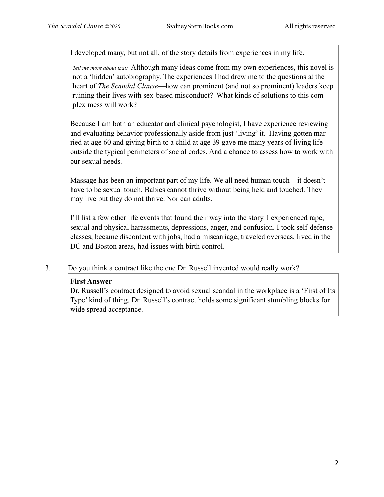I developed many, but not all, of the story details from experiences in my life.

*Tell me more about that:* Although many ideas come from my own experiences, this novel is not a 'hidden' autobiography. The experiences I had drew me to the questions at the heart of *The Scandal Clause*—how can prominent (and not so prominent) leaders keep ruining their lives with sex-based misconduct? What kinds of solutions to this complex mess will work?

Because I am both an educator and clinical psychologist, I have experience reviewing and evaluating behavior professionally aside from just 'living' it. Having gotten married at age 60 and giving birth to a child at age 39 gave me many years of living life outside the typical perimeters of social codes. And a chance to assess how to work with our sexual needs.

Massage has been an important part of my life. We all need human touch—it doesn't have to be sexual touch. Babies cannot thrive without being held and touched. They may live but they do not thrive. Nor can adults.

I'll list a few other life events that found their way into the story. I experienced rape, sexual and physical harassments, depressions, anger, and confusion. I took self-defense classes, became discontent with jobs, had a miscarriage, traveled overseas, lived in the DC and Boston areas, had issues with birth control.

3. Do you think a contract like the one Dr. Russell invented would really work?

#### **First Answer**

Dr. Russell's contract designed to avoid sexual scandal in the workplace is a 'First of Its Type' kind of thing. Dr. Russell's contract holds some significant stumbling blocks for wide spread acceptance.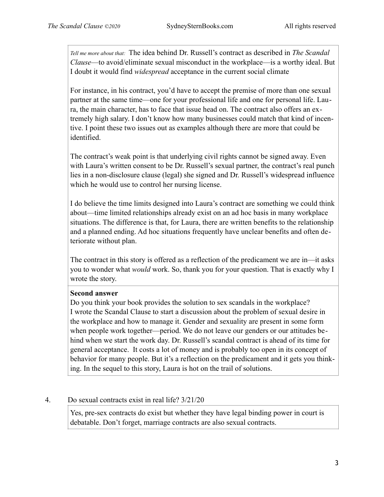*Tell me more about that:* The idea behind Dr. Russell's contract as described in *The Scandal Clause*—to avoid/eliminate sexual misconduct in the workplace—is a worthy ideal. But I doubt it would find *widespread* acceptance in the current social climate

For instance, in his contract, you'd have to accept the premise of more than one sexual partner at the same time—one for your professional life and one for personal life. Laura, the main character, has to face that issue head on. The contract also offers an extremely high salary. I don't know how many businesses could match that kind of incentive. I point these two issues out as examples although there are more that could be identified.

The contract's weak point is that underlying civil rights cannot be signed away. Even with Laura's written consent to be Dr. Russell's sexual partner, the contract's real punch lies in a non-disclosure clause (legal) she signed and Dr. Russell's widespread influence which he would use to control her nursing license.

I do believe the time limits designed into Laura's contract are something we could think about—time limited relationships already exist on an ad hoc basis in many workplace situations. The difference is that, for Laura, there are written benefits to the relationship and a planned ending. Ad hoc situations frequently have unclear benefits and often deteriorate without plan.

The contract in this story is offered as a reflection of the predicament we are in—it asks you to wonder what *would* work. So, thank you for your question. That is exactly why I wrote the story.

#### **Second answer**

Do you think your book provides the solution to sex scandals in the workplace? I wrote the Scandal Clause to start a discussion about the problem of sexual desire in the workplace and how to manage it. Gender and sexuality are present in some form when people work together—period. We do not leave our genders or our attitudes behind when we start the work day. Dr. Russell's scandal contract is ahead of its time for general acceptance. It costs a lot of money and is probably too open in its concept of behavior for many people. But it's a reflection on the predicament and it gets you thinking. In the sequel to this story, Laura is hot on the trail of solutions.

#### 4. Do sexual contracts exist in real life? 3/21/20

Yes, pre-sex contracts do exist but whether they have legal binding power in court is debatable. Don't forget, marriage contracts are also sexual contracts.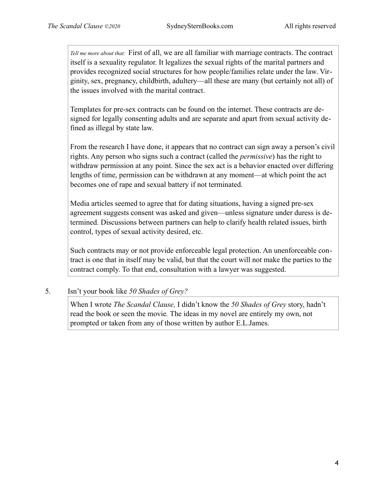*Tell me more about that:* First of all, we are all familiar with marriage contracts. The contract itself is a sexuality regulator. It legalizes the sexual rights of the marital partners and provides recognized social structures for how people/families relate under the law. Virginity, sex, pregnancy, childbirth, adultery—all these are many (but certainly not all) of the issues involved with the marital contract.

Templates for pre-sex contracts can be found on the internet. These contracts are designed for legally consenting adults and are separate and apart from sexual activity defined as illegal by state law.

From the research I have done, it appears that no contract can sign away a person's civil rights. Any person who signs such a contract (called the *permissive*) has the right to withdraw permission at any point. Since the sex act is a behavior enacted over differing lengths of time, permission can be withdrawn at any moment—at which point the act becomes one of rape and sexual battery if not terminated.

Media articles seemed to agree that for dating situations, having a signed pre-sex agreement suggests consent was asked and given—unless signature under duress is determined. Discussions between partners can help to clarify health related issues, birth control, types of sexual activity desired, etc.

Such contracts may or not provide enforceable legal protection. An unenforceable contract is one that in itself may be valid, but that the court will not make the parties to the contract comply. To that end, consultation with a lawyer was suggested.

### 5. Isn't your book like *50 Shades of Grey?*

When I wrote *The Scandal Clause,* I didn't know the *50 Shades of Grey* story, hadn't read the book or seen the movie*.* The ideas in my novel are entirely my own, not prompted or taken from any of those written by author E.L.James.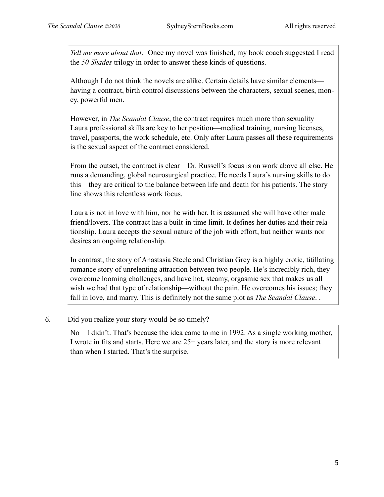*Tell me more about that:* Once my novel was finished, my book coach suggested I read the *50 Shades* trilogy in order to answer these kinds of questions.

Although I do not think the novels are alike. Certain details have similar elements having a contract, birth control discussions between the characters, sexual scenes, money, powerful men.

However, in *The Scandal Clause*, the contract requires much more than sexuality— Laura professional skills are key to her position—medical training, nursing licenses, travel, passports, the work schedule, etc. Only after Laura passes all these requirements is the sexual aspect of the contract considered.

From the outset, the contract is clear—Dr. Russell's focus is on work above all else. He runs a demanding, global neurosurgical practice. He needs Laura's nursing skills to do this—they are critical to the balance between life and death for his patients. The story line shows this relentless work focus.

Laura is not in love with him, nor he with her. It is assumed she will have other male friend/lovers. The contract has a built-in time limit. It defines her duties and their relationship. Laura accepts the sexual nature of the job with effort, but neither wants nor desires an ongoing relationship.

In contrast, the story of Anastasia Steele and Christian Grey is a highly erotic, titillating romance story of unrelenting attraction between two people. He's incredibly rich, they overcome looming challenges, and have hot, steamy, orgasmic sex that makes us all wish we had that type of relationship—without the pain. He overcomes his issues; they fall in love, and marry. This is definitely not the same plot as *The Scandal Clause*. .

#### 6. Did you realize your story would be so timely?

No—I didn't. That's because the idea came to me in 1992. As a single working mother, I wrote in fits and starts. Here we are 25+ years later, and the story is more relevant than when I started. That's the surprise.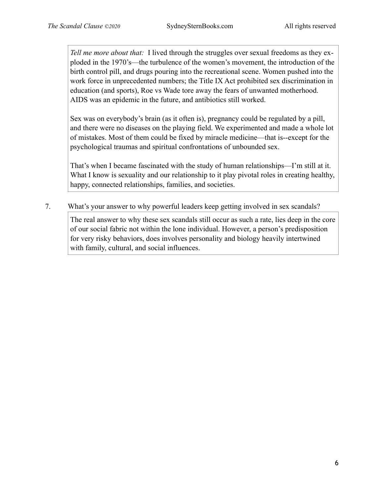*Tell me more about that:* I lived through the struggles over sexual freedoms as they exploded in the 1970's—the turbulence of the women's movement, the introduction of the birth control pill, and drugs pouring into the recreational scene. Women pushed into the work force in unprecedented numbers; the Title IX Act prohibited sex discrimination in education (and sports), Roe vs Wade tore away the fears of unwanted motherhood. AIDS was an epidemic in the future, and antibiotics still worked.

Sex was on everybody's brain (as it often is), pregnancy could be regulated by a pill, and there were no diseases on the playing field. We experimented and made a whole lot of mistakes. Most of them could be fixed by miracle medicine—that is--except for the psychological traumas and spiritual confrontations of unbounded sex.

That's when I became fascinated with the study of human relationships—I'm still at it. What I know is sexuality and our relationship to it play pivotal roles in creating healthy, happy, connected relationships, families, and societies.

7. What's your answer to why powerful leaders keep getting involved in sex scandals?

The real answer to why these sex scandals still occur as such a rate, lies deep in the core of our social fabric not within the lone individual. However, a person's predisposition for very risky behaviors, does involves personality and biology heavily intertwined with family, cultural, and social influences.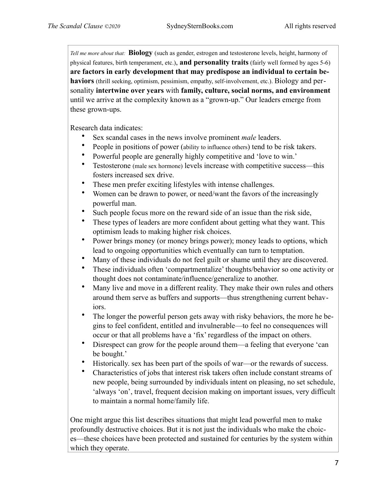*Tell me more about that:* **Biology** (such as gender, estrogen and testosterone levels, height, harmony of physical features, birth temperament, etc.), **and personality traits** (fairly well formed by ages 5-6) **are factors in early development that may predispose an individual to certain behaviors** (thrill seeking, optimism, pessimism, empathy, self-involvement, etc.). Biology and personality **intertwine over years** with **family, culture, social norms, and environment**  until we arrive at the complexity known as a "grown-up." Our leaders emerge from these grown-ups.

Research data indicates:

- Sex scandal cases in the news involve prominent *male* leaders.
- People in positions of power (ability to influence others) tend to be risk takers.
- Powerful people are generally highly competitive and 'love to win.'
- Testosterone (male sex hormone) levels increase with competitive success—this fosters increased sex drive.
- These men prefer exciting lifestyles with intense challenges.
- Women can be drawn to power, or need/want the favors of the increasingly powerful man.
- Such people focus more on the reward side of an issue than the risk side,
- These types of leaders are more confident about getting what they want. This optimism leads to making higher risk choices.
- Power brings money (or money brings power); money leads to options, which lead to ongoing opportunities which eventually can turn to temptation.
- Many of these individuals do not feel guilt or shame until they are discovered.
- These individuals often 'compartmentalize' thoughts/behavior so one activity or thought does not contaminate/influence/generalize to another.
- Many live and move in a different reality. They make their own rules and others around them serve as buffers and supports—thus strengthening current behaviors.
- The longer the powerful person gets away with risky behaviors, the more he begins to feel confident, entitled and invulnerable—to feel no consequences will occur or that all problems have a 'fix' regardless of the impact on others.
- Disrespect can grow for the people around them—a feeling that everyone 'can be bought.'
- Historically. sex has been part of the spoils of war—or the rewards of success.
- Characteristics of jobs that interest risk takers often include constant streams of new people, being surrounded by individuals intent on pleasing, no set schedule, 'always 'on', travel, frequent decision making on important issues, very difficult to maintain a normal home/family life.

One might argue this list describes situations that might lead powerful men to make profoundly destructive choices. But it is not just the individuals who make the choices—these choices have been protected and sustained for centuries by the system within which they operate.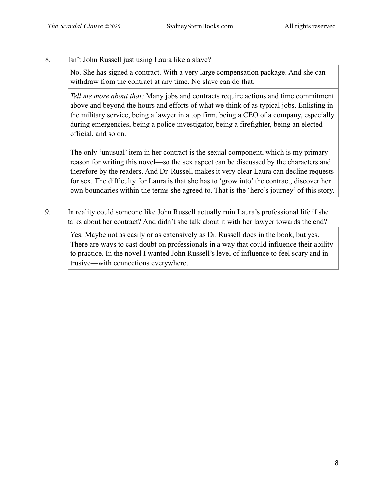#### 8. Isn't John Russell just using Laura like a slave?

No. She has signed a contract. With a very large compensation package. And she can withdraw from the contract at any time. No slave can do that.

*Tell me more about that:* Many jobs and contracts require actions and time commitment above and beyond the hours and efforts of what we think of as typical jobs. Enlisting in the military service, being a lawyer in a top firm, being a CEO of a company, especially during emergencies, being a police investigator, being a firefighter, being an elected official, and so on.

The only 'unusual' item in her contract is the sexual component, which is my primary reason for writing this novel—so the sex aspect can be discussed by the characters and therefore by the readers. And Dr. Russell makes it very clear Laura can decline requests for sex. The difficulty for Laura is that she has to 'grow into' the contract, discover her own boundaries within the terms she agreed to. That is the 'hero's journey' of this story.

9. In reality could someone like John Russell actually ruin Laura's professional life if she talks about her contract? And didn't she talk about it with her lawyer towards the end?

Yes. Maybe not as easily or as extensively as Dr. Russell does in the book, but yes. There are ways to cast doubt on professionals in a way that could influence their ability to practice. In the novel I wanted John Russell's level of influence to feel scary and intrusive—with connections everywhere.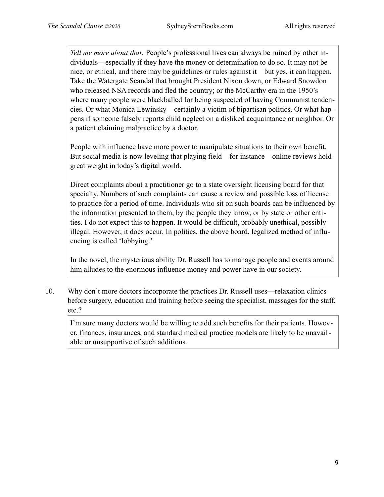*Tell me more about that:* People's professional lives can always be ruined by other individuals—especially if they have the money or determination to do so. It may not be nice, or ethical, and there may be guidelines or rules against it—but yes, it can happen. Take the Watergate Scandal that brought President Nixon down, or Edward Snowdon who released NSA records and fled the country; or the McCarthy era in the 1950's where many people were blackballed for being suspected of having Communist tendencies. Or what Monica Lewinsky—certainly a victim of bipartisan politics. Or what happens if someone falsely reports child neglect on a disliked acquaintance or neighbor. Or a patient claiming malpractice by a doctor.

People with influence have more power to manipulate situations to their own benefit. But social media is now leveling that playing field—for instance—online reviews hold great weight in today's digital world.

Direct complaints about a practitioner go to a state oversight licensing board for that specialty. Numbers of such complaints can cause a review and possible loss of license to practice for a period of time. Individuals who sit on such boards can be influenced by the information presented to them, by the people they know, or by state or other entities. I do not expect this to happen. It would be difficult, probably unethical, possibly illegal. However, it does occur. In politics, the above board, legalized method of influencing is called 'lobbying.'

In the novel, the mysterious ability Dr. Russell has to manage people and events around him alludes to the enormous influence money and power have in our society.

10. Why don't more doctors incorporate the practices Dr. Russell uses—relaxation clinics before surgery, education and training before seeing the specialist, massages for the staff, etc.?

I'm sure many doctors would be willing to add such benefits for their patients. However, finances, insurances, and standard medical practice models are likely to be unavailable or unsupportive of such additions.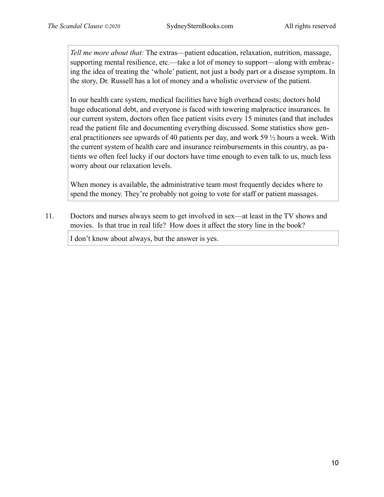*Tell me more about that:* The extras—patient education, relaxation, nutrition, massage, supporting mental resilience, etc.—take a lot of money to support—along with embracing the idea of treating the 'whole' patient, not just a body part or a disease symptom. In the story, Dr. Russell has a lot of money and a wholistic overview of the patient.

In our health care system, medical facilities have high overhead costs; doctors hold huge educational debt, and everyone is faced with towering malpractice insurances. In our current system, doctors often face patient visits every 15 minutes (and that includes read the patient file and documenting everything discussed. Some statistics show general practitioners see upwards of 40 patients per day, and work 59 ½ hours a week. With the current system of health care and insurance reimbursements in this country, as patients we often feel lucky if our doctors have time enough to even talk to us, much less worry about our relaxation levels.

When money is available, the administrative team most frequently decides where to spend the money. They're probably not going to vote for staff or patient massages.

11. Doctors and nurses always seem to get involved in sex—at least in the TV shows and movies. Is that true in real life? How does it affect the story line in the book?

I don't know about always, but the answer is yes.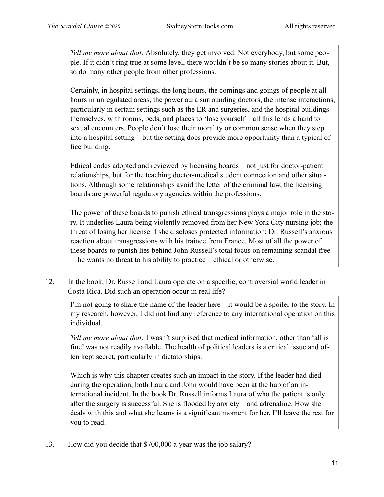*Tell me more about that:* Absolutely, they get involved. Not everybody, but some people. If it didn't ring true at some level, there wouldn't be so many stories about it. But, so do many other people from other professions.

Certainly, in hospital settings, the long hours, the comings and goings of people at all hours in unregulated areas, the power aura surrounding doctors, the intense interactions, particularly in certain settings such as the ER and surgeries, and the hospital buildings themselves, with rooms, beds, and places to 'lose yourself—all this lends a hand to sexual encounters. People don't lose their morality or common sense when they step into a hospital setting—but the setting does provide more opportunity than a typical office building.

Ethical codes adopted and reviewed by licensing boards—not just for doctor-patient relationships, but for the teaching doctor-medical student connection and other situations. Although some relationships avoid the letter of the criminal law, the licensing boards are powerful regulatory agencies within the professions.

The power of these boards to punish ethical transgressions plays a major role in the story. It underlies Laura being violently removed from her New York City nursing job; the threat of losing her license if she discloses protected information; Dr. Russell's anxious reaction about transgressions with his trainee from France. Most of all the power of these boards to punish lies behind John Russell's total focus on remaining scandal free —he wants no threat to his ability to practice—ethical or otherwise.

12. In the book, Dr. Russell and Laura operate on a specific, controversial world leader in Costa Rica. Did such an operation occur in real life?

I'm not going to share the name of the leader here—it would be a spoiler to the story. In my research, however, I did not find any reference to any international operation on this individual.

*Tell me more about that:* I wasn't surprised that medical information, other than 'all is fine' was not readily available. The health of political leaders is a critical issue and often kept secret, particularly in dictatorships.

Which is why this chapter creates such an impact in the story. If the leader had died during the operation, both Laura and John would have been at the hub of an international incident. In the book Dr. Russell informs Laura of who the patient is only after the surgery is successful. She is flooded by anxiety—and adrenaline. How she deals with this and what she learns is a significant moment for her. I'll leave the rest for you to read.

13. How did you decide that \$700,000 a year was the job salary?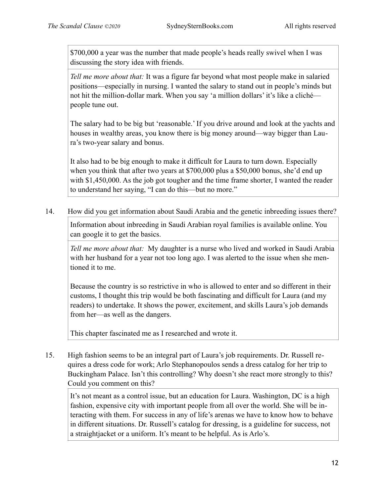\$700,000 a year was the number that made people's heads really swivel when I was discussing the story idea with friends.

*Tell me more about that:* It was a figure far beyond what most people make in salaried positions—especially in nursing. I wanted the salary to stand out in people's minds but not hit the million-dollar mark. When you say 'a million dollars' it's like a cliché people tune out.

The salary had to be big but 'reasonable.' If you drive around and look at the yachts and houses in wealthy areas, you know there is big money around—way bigger than Laura's two-year salary and bonus.

It also had to be big enough to make it difficult for Laura to turn down. Especially when you think that after two years at \$700,000 plus a \$50,000 bonus, she'd end up with \$1,450,000. As the job got tougher and the time frame shorter, I wanted the reader to understand her saying, "I can do this—but no more."

14. How did you get information about Saudi Arabia and the genetic inbreeding issues there?

Information about inbreeding in Saudi Arabian royal families is available online. You can google it to get the basics.

*Tell me more about that:* My daughter is a nurse who lived and worked in Saudi Arabia with her husband for a year not too long ago. I was alerted to the issue when she mentioned it to me.

Because the country is so restrictive in who is allowed to enter and so different in their customs, I thought this trip would be both fascinating and difficult for Laura (and my readers) to undertake. It shows the power, excitement, and skills Laura's job demands from her—as well as the dangers.

This chapter fascinated me as I researched and wrote it.

15. High fashion seems to be an integral part of Laura's job requirements. Dr. Russell requires a dress code for work; Arlo Stephanopoulos sends a dress catalog for her trip to Buckingham Palace. Isn't this controlling? Why doesn't she react more strongly to this? Could you comment on this?

It's not meant as a control issue, but an education for Laura. Washington, DC is a high fashion, expensive city with important people from all over the world. She will be interacting with them. For success in any of life's arenas we have to know how to behave in different situations. Dr. Russell's catalog for dressing, is a guideline for success, not a straightjacket or a uniform. It's meant to be helpful. As is Arlo's.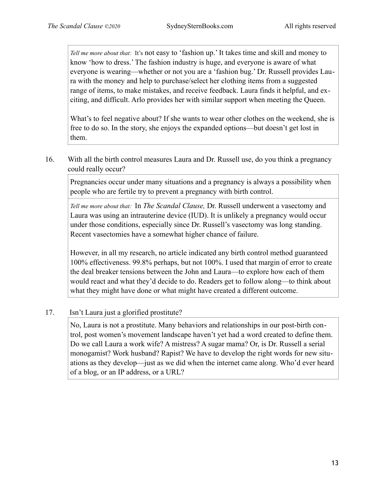*Tell me more about that:* It's not easy to 'fashion up.' It takes time and skill and money to know 'how to dress.' The fashion industry is huge, and everyone is aware of what everyone is wearing—whether or not you are a 'fashion bug.' Dr. Russell provides Laura with the money and help to purchase/select her clothing items from a suggested range of items, to make mistakes, and receive feedback. Laura finds it helpful, and exciting, and difficult. Arlo provides her with similar support when meeting the Queen.

What's to feel negative about? If she wants to wear other clothes on the weekend, she is free to do so. In the story, she enjoys the expanded options—but doesn't get lost in them.

16. With all the birth control measures Laura and Dr. Russell use, do you think a pregnancy could really occur?

Pregnancies occur under many situations and a pregnancy is always a possibility when people who are fertile try to prevent a pregnancy with birth control.

*Tell me more about that:* In *The Scandal Clause,* Dr. Russell underwent a vasectomy and Laura was using an intrauterine device (IUD). It is unlikely a pregnancy would occur under those conditions, especially since Dr. Russell's vasectomy was long standing. Recent vasectomies have a somewhat higher chance of failure.

However, in all my research, no article indicated any birth control method guaranteed 100% effectiveness. 99.8% perhaps, but not 100%. I used that margin of error to create the deal breaker tensions between the John and Laura—to explore how each of them would react and what they'd decide to do. Readers get to follow along—to think about what they might have done or what might have created a different outcome.

## 17. Isn't Laura just a glorified prostitute?

No, Laura is not a prostitute. Many behaviors and relationships in our post-birth control, post women's movement landscape haven't yet had a word created to define them. Do we call Laura a work wife? A mistress? A sugar mama? Or, is Dr. Russell a serial monogamist? Work husband? Rapist? We have to develop the right words for new situations as they develop—just as we did when the internet came along. Who'd ever heard of a blog, or an IP address, or a URL?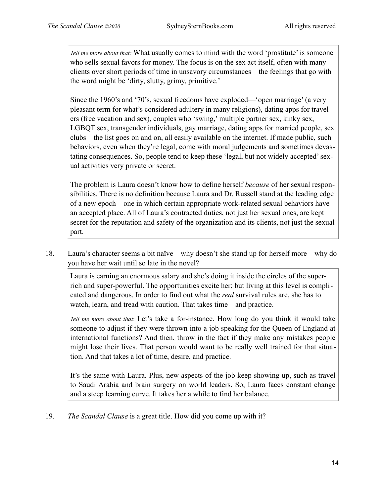*Tell me more about that:* What usually comes to mind with the word 'prostitute' is someone who sells sexual favors for money. The focus is on the sex act itself, often with many clients over short periods of time in unsavory circumstances—the feelings that go with the word might be 'dirty, slutty, grimy, primitive.'

Since the 1960's and '70's, sexual freedoms have exploded—'open marriage' (a very pleasant term for what's considered adultery in many religions), dating apps for travelers (free vacation and sex), couples who 'swing,' multiple partner sex, kinky sex, LGBQT sex, transgender individuals, gay marriage, dating apps for married people, sex clubs—the list goes on and on, all easily available on the internet. If made public, such behaviors, even when they're legal, come with moral judgements and sometimes devastating consequences. So, people tend to keep these 'legal, but not widely accepted' sexual activities very private or secret.

The problem is Laura doesn't know how to define herself *because* of her sexual responsibilities. There is no definition because Laura and Dr. Russell stand at the leading edge of a new epoch—one in which certain appropriate work-related sexual behaviors have an accepted place. All of Laura's contracted duties, not just her sexual ones, are kept secret for the reputation and safety of the organization and its clients, not just the sexual part.

18. Laura's character seems a bit naïve—why doesn't she stand up for herself more—why do you have her wait until so late in the novel?

Laura is earning an enormous salary and she's doing it inside the circles of the superrich and super-powerful. The opportunities excite her; but living at this level is complicated and dangerous. In order to find out what the *real* survival rules are, she has to watch, learn, and tread with caution. That takes time—and practice.

*Tell me more about that*: Let's take a for-instance. How long do you think it would take someone to adjust if they were thrown into a job speaking for the Queen of England at international functions? And then, throw in the fact if they make any mistakes people might lose their lives. That person would want to be really well trained for that situation. And that takes a lot of time, desire, and practice.

It's the same with Laura. Plus, new aspects of the job keep showing up, such as travel to Saudi Arabia and brain surgery on world leaders. So, Laura faces constant change and a steep learning curve. It takes her a while to find her balance.

19. *The Scandal Clause* is a great title. How did you come up with it?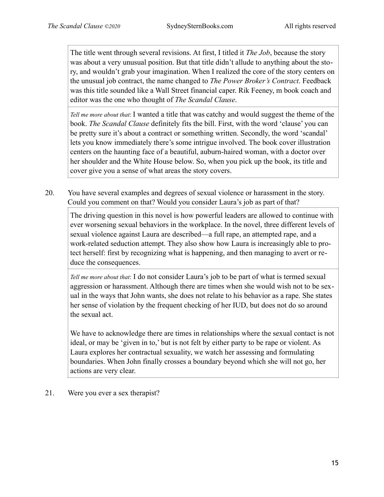The title went through several revisions. At first, I titled it *The Job*, because the story was about a very unusual position. But that title didn't allude to anything about the story, and wouldn't grab your imagination. When I realized the core of the story centers on the unusual job contract, the name changed to *The Power Broker's Contract*. Feedback was this title sounded like a Wall Street financial caper. Rik Feeney, m book coach and editor was the one who thought of *The Scandal Clause*.

*Tell me more about that*: I wanted a title that was catchy and would suggest the theme of the book. *The Scandal Clause* definitely fits the bill. First, with the word 'clause' you can be pretty sure it's about a contract or something written. Secondly, the word 'scandal' lets you know immediately there's some intrigue involved. The book cover illustration centers on the haunting face of a beautiful, auburn-haired woman, with a doctor over her shoulder and the White House below. So, when you pick up the book, its title and cover give you a sense of what areas the story covers.

20. You have several examples and degrees of sexual violence or harassment in the story. Could you comment on that? Would you consider Laura's job as part of that?

The driving question in this novel is how powerful leaders are allowed to continue with ever worsening sexual behaviors in the workplace. In the novel, three different levels of sexual violence against Laura are described—a full rape, an attempted rape, and a work-related seduction attempt. They also show how Laura is increasingly able to protect herself: first by recognizing what is happening, and then managing to avert or reduce the consequences.

*Tell me more about that*: I do not consider Laura's job to be part of what is termed sexual aggression or harassment. Although there are times when she would wish not to be sexual in the ways that John wants, she does not relate to his behavior as a rape. She states her sense of violation by the frequent checking of her IUD, but does not do so around the sexual act.

We have to acknowledge there are times in relationships where the sexual contact is not ideal, or may be 'given in to,' but is not felt by either party to be rape or violent. As Laura explores her contractual sexuality, we watch her assessing and formulating boundaries. When John finally crosses a boundary beyond which she will not go, her actions are very clear.

21. Were you ever a sex therapist?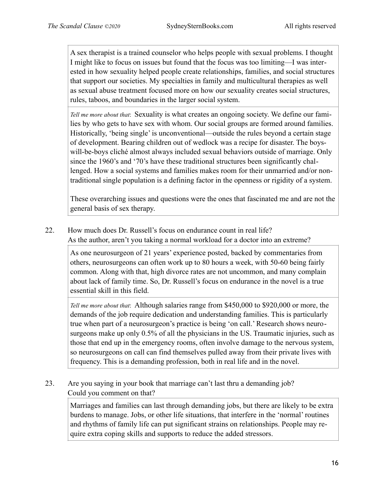A sex therapist is a trained counselor who helps people with sexual problems. I thought I might like to focus on issues but found that the focus was too limiting—I was interested in how sexuality helped people create relationships, families, and social structures that support our societies. My specialties in family and multicultural therapies as well as sexual abuse treatment focused more on how our sexuality creates social structures, rules, taboos, and boundaries in the larger social system.

*Tell me more about that*: Sexuality is what creates an ongoing society. We define our families by who gets to have sex with whom. Our social groups are formed around families. Historically, 'being single' is unconventional—outside the rules beyond a certain stage of development. Bearing children out of wedlock was a recipe for disaster. The boyswill-be-boys cliché almost always included sexual behaviors outside of marriage. Only since the 1960's and '70's have these traditional structures been significantly challenged. How a social systems and families makes room for their unmarried and/or nontraditional single population is a defining factor in the openness or rigidity of a system.

These overarching issues and questions were the ones that fascinated me and are not the general basis of sex therapy.

22. How much does Dr. Russell's focus on endurance count in real life? As the author, aren't you taking a normal workload for a doctor into an extreme?

As one neurosurgeon of 21 years' experience posted, backed by commentaries from others, neurosurgeons can often work up to 80 hours a week, with 50-60 being fairly common. Along with that, high divorce rates are not uncommon, and many complain about lack of family time. So, Dr. Russell's focus on endurance in the novel is a true essential skill in this field.

*Tell me more about that*: Although salaries range from \$450,000 to \$920,000 or more, the demands of the job require dedication and understanding families. This is particularly true when part of a neurosurgeon's practice is being 'on call.' Research shows neurosurgeons make up only 0.5% of all the physicians in the US. Traumatic injuries, such as those that end up in the emergency rooms, often involve damage to the nervous system, so neurosurgeons on call can find themselves pulled away from their private lives with frequency. This is a demanding profession, both in real life and in the novel.

23. Are you saying in your book that marriage can't last thru a demanding job? Could you comment on that?

> Marriages and families can last through demanding jobs, but there are likely to be extra burdens to manage. Jobs, or other life situations, that interfere in the 'normal' routines and rhythms of family life can put significant strains on relationships. People may require extra coping skills and supports to reduce the added stressors.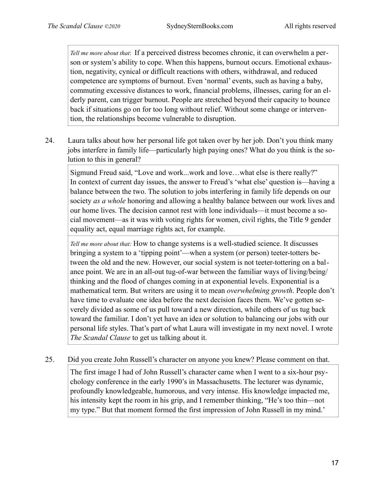*Tell me more about that*: If a perceived distress becomes chronic, it can overwhelm a person or system's ability to cope. When this happens, burnout occurs. Emotional exhaustion, negativity, cynical or difficult reactions with others, withdrawal, and reduced competence are symptoms of burnout. Even 'normal' events, such as having a baby, commuting excessive distances to work, financial problems, illnesses, caring for an elderly parent, can trigger burnout. People are stretched beyond their capacity to bounce back if situations go on for too long without relief. Without some change or intervention, the relationships become vulnerable to disruption.

24. Laura talks about how her personal life got taken over by her job. Don't you think many jobs interfere in family life—particularly high paying ones? What do you think is the solution to this in general?

Sigmund Freud said, "Love and work...work and love…what else is there really?" In context of current day issues, the answer to Freud's 'what else' question is—having a balance between the two. The solution to jobs interfering in family life depends on our society *as a whole* honoring and allowing a healthy balance between our work lives and our home lives. The decision cannot rest with lone individuals—it must become a social movement—as it was with voting rights for women, civil rights, the Title 9 gender equality act, equal marriage rights act, for example.

*Tell me more about that:* How to change systems is a well-studied science. It discusses bringing a system to a 'tipping point'—when a system (or person) teeter-totters between the old and the new. However, our social system is not teeter-tottering on a balance point. We are in an all-out tug-of-war between the familiar ways of living/being/ thinking and the flood of changes coming in at exponential levels. Exponential is a mathematical term. But writers are using it to mean *overwhelming growth*. People don't have time to evaluate one idea before the next decision faces them. We've gotten severely divided as some of us pull toward a new direction, while others of us tug back toward the familiar. I don't yet have an idea or solution to balancing our jobs with our personal life styles. That's part of what Laura will investigate in my next novel. I wrote *The Scandal Clause* to get us talking about it.

25. Did you create John Russell's character on anyone you knew? Please comment on that.

The first image I had of John Russell's character came when I went to a six-hour psychology conference in the early 1990's in Massachusetts. The lecturer was dynamic, profoundly knowledgeable, humorous, and very intense. His knowledge impacted me, his intensity kept the room in his grip, and I remember thinking, "He's too thin—not my type." But that moment formed the first impression of John Russell in my mind.'